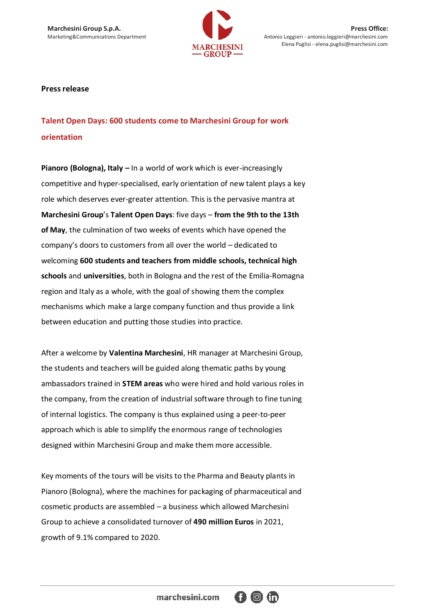

**Marchesini Group S.p.A.** Press Office:<br>
Marketing&Communications Department Marketing&Communications Department Antonio Leggieri - antonio.leggieri@marchesini.com Antonio Leggieri - antonio.leggieri@marchesini.com Elena Puglisi - elena.puglisi@marchesini.com

## **Press release**

**Talent Open Days: 600 students come to Marchesini Group for work orientation**

**Pianoro (Bologna), Italy –** In a world of work which is ever-increasingly competitive and hyper-specialised, early orientation of new talent plays a key role which deserves ever-greater attention. This is the pervasive mantra at **Marchesini Group**'s **Talent Open Days**: five days – **from the 9th to the 13th of May**, the culmination of two weeks of events which have opened the company's doors to customers from all over the world – dedicated to welcoming **600 students and teachers from middle schools, technical high schools** and **universities**, both in Bologna and the rest of the Emilia-Romagna region and Italy as a whole, with the goal of showing them the complex mechanisms which make a large company function and thus provide a link between education and putting those studies into practice.

After a welcome by **Valentina Marchesini**, HR manager at Marchesini Group, the students and teachers will be guided along thematic paths by young ambassadors trained in **STEM areas** who were hired and hold various roles in the company, from the creation of industrial software through to fine tuning of internal logistics. The company is thus explained using a peer-to-peer approach which is able to simplify the enormous range of technologies designed within Marchesini Group and make them more accessible.

Key moments of the tours will be visits to the Pharma and Beauty plants in Pianoro (Bologna), where the machines for packaging of pharmaceutical and cosmetic products are assembled – a business which allowed Marchesini Group to achieve a consolidated turnover of **490 million Euros** in 2021, growth of 9.1% compared to 2020.